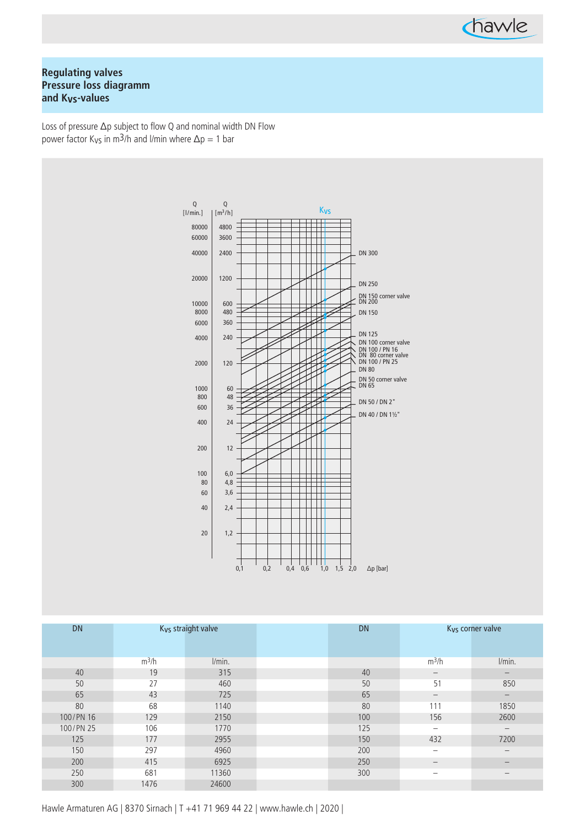

# **Regulating valves Pressure loss diagramm and Kvs-values**

Loss of pressure  $\Delta p$  subject to flow Q and nominal width DN Flow power factor K<sub>Vs</sub> in m<sup>3</sup>/h and l/min where  $\Delta p = 1$  bar



| <b>DN</b> | K <sub>vs</sub> straight valve |        | <b>DN</b> | K <sub>vs</sub> corner valve |                          |
|-----------|--------------------------------|--------|-----------|------------------------------|--------------------------|
|           |                                |        |           |                              |                          |
|           |                                |        |           |                              |                          |
|           | $m^3/h$                        | l/min. |           | $m^3/h$                      | l/min.                   |
| 40        | 19                             | 315    | 40        |                              | $\overline{\phantom{m}}$ |
| 50        | 27                             | 460    | 50        | 51                           | 850                      |
| 65        | 43                             | 725    | 65        | $\qquad \qquad -$            | $\qquad \qquad -$        |
| 80        | 68                             | 1140   | 80        | 111                          | 1850                     |
| 100/PN 16 | 129                            | 2150   | 100       | 156                          | 2600                     |
| 100/PN 25 | 106                            | 1770   | 125       | $\overline{\phantom{m}}$     | $\overline{\phantom{m}}$ |
| 125       | 177                            | 2955   | 150       | 432                          | 7200                     |
| 150       | 297                            | 4960   | 200       | $\overline{\phantom{m}}$     | $\overline{\phantom{m}}$ |
| 200       | 415                            | 6925   | 250       | $\overline{\phantom{m}}$     | $\overline{\phantom{m}}$ |
| 250       | 681                            | 11360  | 300       | $\overline{\phantom{m}}$     | $\overline{\phantom{m}}$ |
| 300       | 1476                           | 24600  |           |                              |                          |

Hawle Armaturen AG | 8370 Sirnach | T +41 71 969 44 22 | www.hawle.ch | 2020 |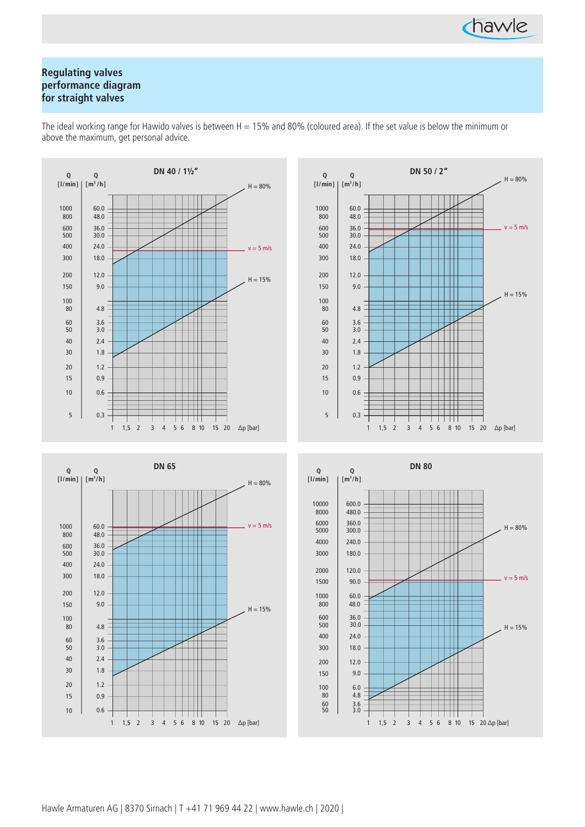

# **Regulating valves performance diagram for straight valves**



The ideal working range for Hawido valves is between  $H = 15%$  and 80% (coloured area). If the set value is below the minimum or above the maximum, get personal advice.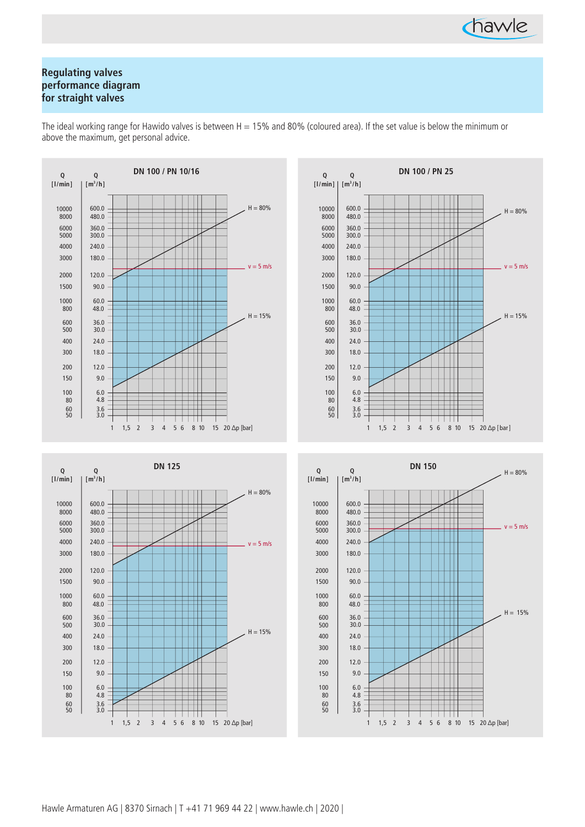

# **Regulating valves performance diagram for straight valves**

The ideal working range for Hawido valves is between  $H = 15%$  and 80% (coloured area). If the set value is below the minimum or above the maximum, get personal advice.







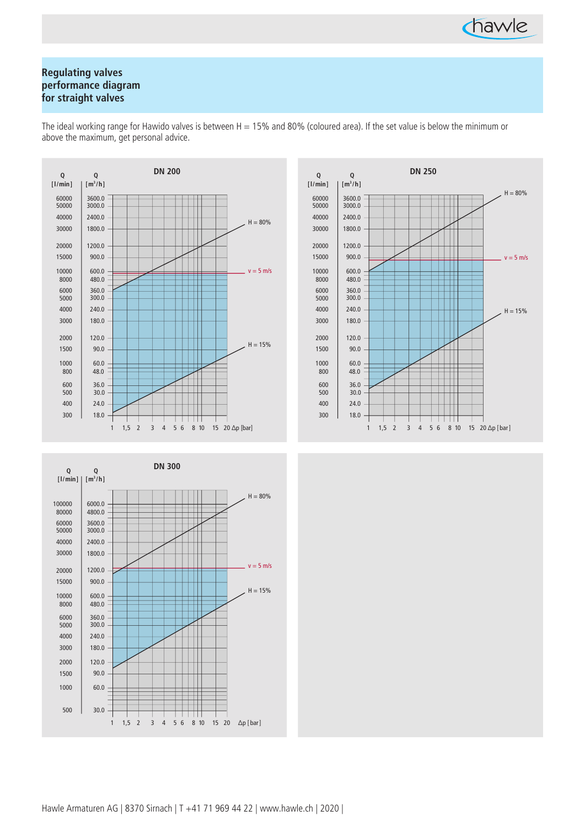

# **Regulating valves performance diagram for straight valves**

The ideal working range for Hawido valves is between  $H = 15%$  and 80% (coloured area). If the set value is below the minimum or above the maximum, get personal advice.